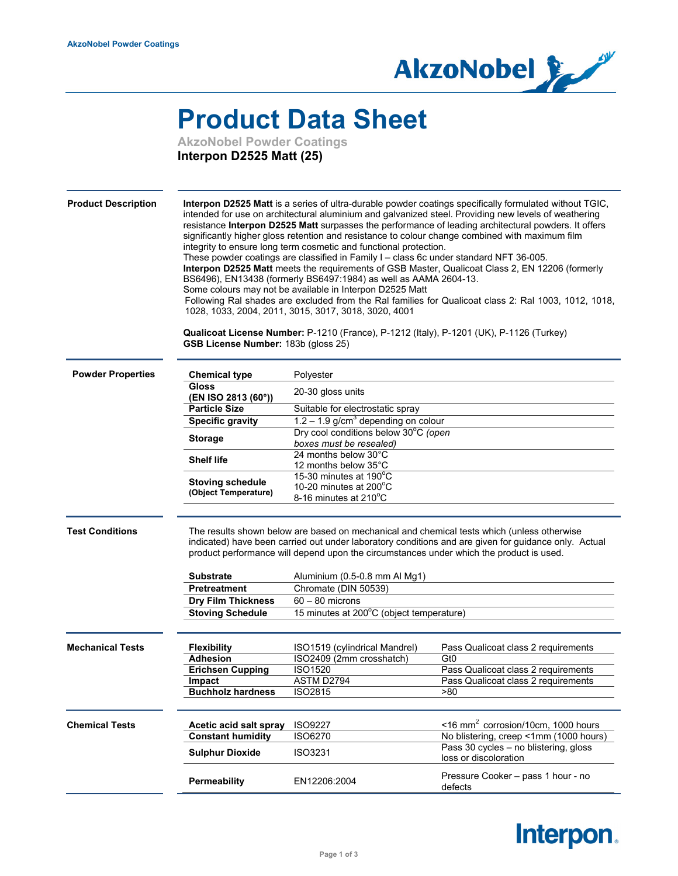

## **Product Data Sheet**

**AkzoNobel Powder Coatings Interpon D2525 Matt (25)**

| <b>Product Description</b> | GSB License Number: 183b (gloss 25)                                                                                                                                                             | integrity to ensure long term cosmetic and functional protection.<br>These powder coatings are classified in Family I - class 6c under standard NFT 36-005.<br>BS6496), EN13438 (formerly BS6497:1984) as well as AAMA 2604-13.<br>Some colours may not be available in Interpon D2525 Matt<br>1028, 1033, 2004, 2011, 3015, 3017, 3018, 3020, 4001<br>Qualicoat License Number: P-1210 (France), P-1212 (Italy), P-1201 (UK), P-1126 (Turkey) | Interpon D2525 Matt is a series of ultra-durable powder coatings specifically formulated without TGIC,<br>intended for use on architectural aluminium and galvanized steel. Providing new levels of weathering<br>resistance Interpon D2525 Matt surpasses the performance of leading architectural powders. It offers<br>significantly higher gloss retention and resistance to colour change combined with maximum film<br>Interpon D2525 Matt meets the requirements of GSB Master, Qualicoat Class 2, EN 12206 (formerly<br>Following Ral shades are excluded from the Ral families for Qualicoat class 2: Ral 1003, 1012, 1018, |  |
|----------------------------|-------------------------------------------------------------------------------------------------------------------------------------------------------------------------------------------------|------------------------------------------------------------------------------------------------------------------------------------------------------------------------------------------------------------------------------------------------------------------------------------------------------------------------------------------------------------------------------------------------------------------------------------------------|--------------------------------------------------------------------------------------------------------------------------------------------------------------------------------------------------------------------------------------------------------------------------------------------------------------------------------------------------------------------------------------------------------------------------------------------------------------------------------------------------------------------------------------------------------------------------------------------------------------------------------------|--|
| <b>Powder Properties</b>   | <b>Chemical type</b>                                                                                                                                                                            | Polyester                                                                                                                                                                                                                                                                                                                                                                                                                                      |                                                                                                                                                                                                                                                                                                                                                                                                                                                                                                                                                                                                                                      |  |
|                            | Gloss                                                                                                                                                                                           | 20-30 gloss units                                                                                                                                                                                                                                                                                                                                                                                                                              |                                                                                                                                                                                                                                                                                                                                                                                                                                                                                                                                                                                                                                      |  |
|                            | (EN ISO 2813 (60°))<br><b>Particle Size</b>                                                                                                                                                     |                                                                                                                                                                                                                                                                                                                                                                                                                                                |                                                                                                                                                                                                                                                                                                                                                                                                                                                                                                                                                                                                                                      |  |
|                            |                                                                                                                                                                                                 | Suitable for electrostatic spray                                                                                                                                                                                                                                                                                                                                                                                                               |                                                                                                                                                                                                                                                                                                                                                                                                                                                                                                                                                                                                                                      |  |
|                            | <b>Specific gravity</b>                                                                                                                                                                         | $1.2 - 1.9$ g/cm <sup>3</sup> depending on colour<br>Dry cool conditions below 30°C (open                                                                                                                                                                                                                                                                                                                                                      |                                                                                                                                                                                                                                                                                                                                                                                                                                                                                                                                                                                                                                      |  |
|                            | <b>Storage</b><br>boxes must be resealed)                                                                                                                                                       |                                                                                                                                                                                                                                                                                                                                                                                                                                                |                                                                                                                                                                                                                                                                                                                                                                                                                                                                                                                                                                                                                                      |  |
|                            |                                                                                                                                                                                                 | 24 months below 30°C                                                                                                                                                                                                                                                                                                                                                                                                                           |                                                                                                                                                                                                                                                                                                                                                                                                                                                                                                                                                                                                                                      |  |
|                            | <b>Shelf life</b>                                                                                                                                                                               | 12 months below 35°C                                                                                                                                                                                                                                                                                                                                                                                                                           |                                                                                                                                                                                                                                                                                                                                                                                                                                                                                                                                                                                                                                      |  |
|                            | <b>Stoving schedule</b>                                                                                                                                                                         | 15-30 minutes at 190°C                                                                                                                                                                                                                                                                                                                                                                                                                         |                                                                                                                                                                                                                                                                                                                                                                                                                                                                                                                                                                                                                                      |  |
|                            | (Object Temperature)                                                                                                                                                                            | 10-20 minutes at $200^{\circ}$ C<br>8-16 minutes at 210°C                                                                                                                                                                                                                                                                                                                                                                                      |                                                                                                                                                                                                                                                                                                                                                                                                                                                                                                                                                                                                                                      |  |
| <b>Test Conditions</b>     |                                                                                                                                                                                                 |                                                                                                                                                                                                                                                                                                                                                                                                                                                | The results shown below are based on mechanical and chemical tests which (unless otherwise                                                                                                                                                                                                                                                                                                                                                                                                                                                                                                                                           |  |
|                            | indicated) have been carried out under laboratory conditions and are given for guidance only. Actual<br>product performance will depend upon the circumstances under which the product is used. |                                                                                                                                                                                                                                                                                                                                                                                                                                                |                                                                                                                                                                                                                                                                                                                                                                                                                                                                                                                                                                                                                                      |  |
|                            | <b>Substrate</b>                                                                                                                                                                                | Aluminium (0.5-0.8 mm Al Mg1)                                                                                                                                                                                                                                                                                                                                                                                                                  |                                                                                                                                                                                                                                                                                                                                                                                                                                                                                                                                                                                                                                      |  |
|                            | Pretreatment                                                                                                                                                                                    | Chromate (DIN 50539)                                                                                                                                                                                                                                                                                                                                                                                                                           |                                                                                                                                                                                                                                                                                                                                                                                                                                                                                                                                                                                                                                      |  |
|                            | <b>Dry Film Thickness</b>                                                                                                                                                                       | $60 - 80$ microns                                                                                                                                                                                                                                                                                                                                                                                                                              |                                                                                                                                                                                                                                                                                                                                                                                                                                                                                                                                                                                                                                      |  |
|                            | <b>Stoving Schedule</b>                                                                                                                                                                         | 15 minutes at 200°C (object temperature)                                                                                                                                                                                                                                                                                                                                                                                                       |                                                                                                                                                                                                                                                                                                                                                                                                                                                                                                                                                                                                                                      |  |
| <b>Mechanical Tests</b>    | <b>Flexibility</b>                                                                                                                                                                              | ISO1519 (cylindrical Mandrel)                                                                                                                                                                                                                                                                                                                                                                                                                  | Pass Qualicoat class 2 requirements                                                                                                                                                                                                                                                                                                                                                                                                                                                                                                                                                                                                  |  |
|                            | Adhesion                                                                                                                                                                                        | ISO2409 (2mm crosshatch)                                                                                                                                                                                                                                                                                                                                                                                                                       | Gt0                                                                                                                                                                                                                                                                                                                                                                                                                                                                                                                                                                                                                                  |  |
|                            | <b>Erichsen Cupping</b>                                                                                                                                                                         | ISO1520                                                                                                                                                                                                                                                                                                                                                                                                                                        | Pass Qualicoat class 2 requirements                                                                                                                                                                                                                                                                                                                                                                                                                                                                                                                                                                                                  |  |
|                            | Impact                                                                                                                                                                                          | ASTM D2794                                                                                                                                                                                                                                                                                                                                                                                                                                     | Pass Qualicoat class 2 requirements                                                                                                                                                                                                                                                                                                                                                                                                                                                                                                                                                                                                  |  |
|                            | <b>Buchholz hardness</b>                                                                                                                                                                        | <b>ISO2815</b>                                                                                                                                                                                                                                                                                                                                                                                                                                 | >80                                                                                                                                                                                                                                                                                                                                                                                                                                                                                                                                                                                                                                  |  |
| <b>Chemical Tests</b>      | Acetic acid salt spray                                                                                                                                                                          | <b>ISO9227</b>                                                                                                                                                                                                                                                                                                                                                                                                                                 | $\leq$ 16 mm <sup>2</sup> corrosion/10cm, 1000 hours                                                                                                                                                                                                                                                                                                                                                                                                                                                                                                                                                                                 |  |
|                            | <b>Constant humidity</b>                                                                                                                                                                        | <b>ISO6270</b>                                                                                                                                                                                                                                                                                                                                                                                                                                 | No blistering, creep <1mm (1000 hours)                                                                                                                                                                                                                                                                                                                                                                                                                                                                                                                                                                                               |  |
|                            | <b>Sulphur Dioxide</b>                                                                                                                                                                          | ISO3231                                                                                                                                                                                                                                                                                                                                                                                                                                        | Pass 30 cycles - no blistering, gloss<br>loss or discoloration                                                                                                                                                                                                                                                                                                                                                                                                                                                                                                                                                                       |  |
|                            | Permeability                                                                                                                                                                                    | EN12206:2004                                                                                                                                                                                                                                                                                                                                                                                                                                   | Pressure Cooker - pass 1 hour - no<br>defects                                                                                                                                                                                                                                                                                                                                                                                                                                                                                                                                                                                        |  |

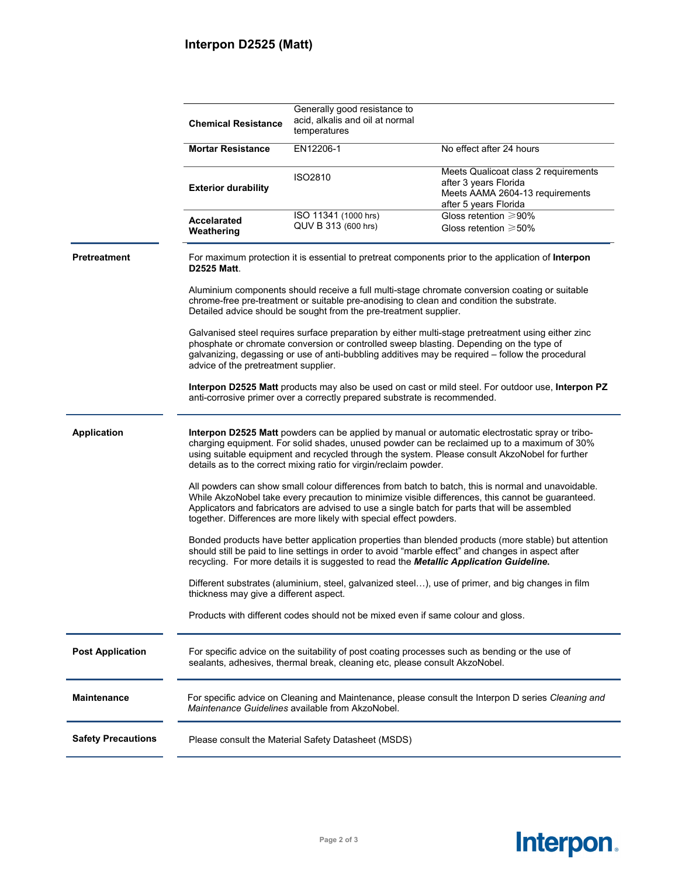## **Interpon D2525 (Matt)**

|                           | <b>Chemical Resistance</b>                                                                                                                                                                                                                                                                                                                                                      | Generally good resistance to<br>acid, alkalis and oil at normal<br>temperatures |                                                                                                                           |  |  |
|---------------------------|---------------------------------------------------------------------------------------------------------------------------------------------------------------------------------------------------------------------------------------------------------------------------------------------------------------------------------------------------------------------------------|---------------------------------------------------------------------------------|---------------------------------------------------------------------------------------------------------------------------|--|--|
|                           | <b>Mortar Resistance</b>                                                                                                                                                                                                                                                                                                                                                        | EN12206-1                                                                       | No effect after 24 hours                                                                                                  |  |  |
|                           | <b>Exterior durability</b>                                                                                                                                                                                                                                                                                                                                                      | <b>ISO2810</b>                                                                  | Meets Qualicoat class 2 requirements<br>after 3 years Florida<br>Meets AAMA 2604-13 requirements<br>after 5 years Florida |  |  |
|                           | <b>Accelarated</b><br>Weathering                                                                                                                                                                                                                                                                                                                                                | ISO 11341 (1000 hrs)<br>QUV B 313 (600 hrs)                                     | Gloss retention ≥90%<br>Gloss retention $\geq 50\%$                                                                       |  |  |
| <b>Pretreatment</b>       | For maximum protection it is essential to pretreat components prior to the application of Interpon<br><b>D2525 Matt.</b>                                                                                                                                                                                                                                                        |                                                                                 |                                                                                                                           |  |  |
|                           | Aluminium components should receive a full multi-stage chromate conversion coating or suitable<br>chrome-free pre-treatment or suitable pre-anodising to clean and condition the substrate.<br>Detailed advice should be sought from the pre-treatment supplier.                                                                                                                |                                                                                 |                                                                                                                           |  |  |
|                           | Galvanised steel requires surface preparation by either multi-stage pretreatment using either zinc<br>phosphate or chromate conversion or controlled sweep blasting. Depending on the type of<br>galvanizing, degassing or use of anti-bubbling additives may be required - follow the procedural<br>advice of the pretreatment supplier.                                       |                                                                                 |                                                                                                                           |  |  |
|                           | <b>Interpon D2525 Matt</b> products may also be used on cast or mild steel. For outdoor use, Interpon PZ<br>anti-corrosive primer over a correctly prepared substrate is recommended.                                                                                                                                                                                           |                                                                                 |                                                                                                                           |  |  |
| <b>Application</b>        | Interpon D2525 Matt powders can be applied by manual or automatic electrostatic spray or tribo-<br>charging equipment. For solid shades, unused powder can be reclaimed up to a maximum of 30%<br>using suitable equipment and recycled through the system. Please consult AkzoNobel for further<br>details as to the correct mixing ratio for virgin/reclaim powder.           |                                                                                 |                                                                                                                           |  |  |
|                           | All powders can show small colour differences from batch to batch, this is normal and unavoidable.<br>While AkzoNobel take every precaution to minimize visible differences, this cannot be guaranteed.<br>Applicators and fabricators are advised to use a single batch for parts that will be assembled<br>together. Differences are more likely with special effect powders. |                                                                                 |                                                                                                                           |  |  |
|                           | Bonded products have better application properties than blended products (more stable) but attention<br>should still be paid to line settings in order to avoid "marble effect" and changes in aspect after<br>recycling. For more details it is suggested to read the Metallic Application Guideline.                                                                          |                                                                                 |                                                                                                                           |  |  |
|                           | Different substrates (aluminium, steel, galvanized steel), use of primer, and big changes in film<br>thickness may give a different aspect.                                                                                                                                                                                                                                     |                                                                                 |                                                                                                                           |  |  |
|                           | Products with different codes should not be mixed even if same colour and gloss.                                                                                                                                                                                                                                                                                                |                                                                                 |                                                                                                                           |  |  |
| <b>Post Application</b>   | For specific advice on the suitability of post coating processes such as bending or the use of<br>sealants, adhesives, thermal break, cleaning etc, please consult AkzoNobel.                                                                                                                                                                                                   |                                                                                 |                                                                                                                           |  |  |
| <b>Maintenance</b>        | For specific advice on Cleaning and Maintenance, please consult the Interpon D series Cleaning and<br>Maintenance Guidelines available from AkzoNobel.                                                                                                                                                                                                                          |                                                                                 |                                                                                                                           |  |  |
| <b>Safety Precautions</b> | Please consult the Material Safety Datasheet (MSDS)                                                                                                                                                                                                                                                                                                                             |                                                                                 |                                                                                                                           |  |  |